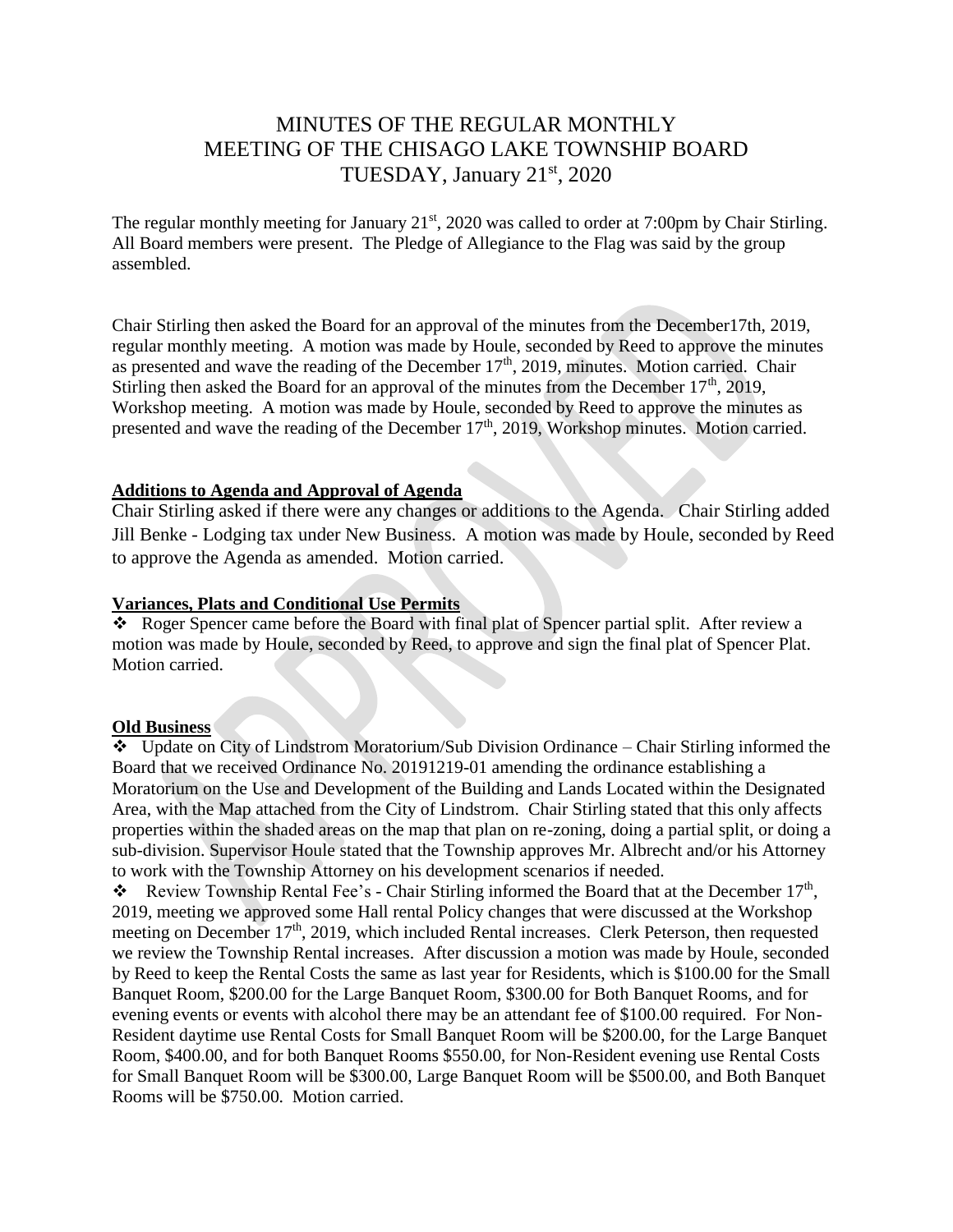# MINUTES OF THE REGULAR MONTHLY MEETING OF THE CHISAGO LAKE TOWNSHIP BOARD TUESDAY, January 21st, 2020

The regular monthly meeting for January  $21<sup>st</sup>$ , 2020 was called to order at 7:00pm by Chair Stirling. All Board members were present. The Pledge of Allegiance to the Flag was said by the group assembled.

Chair Stirling then asked the Board for an approval of the minutes from the December17th, 2019, regular monthly meeting. A motion was made by Houle, seconded by Reed to approve the minutes as presented and wave the reading of the December 17<sup>th</sup>, 2019, minutes. Motion carried. Chair Stirling then asked the Board for an approval of the minutes from the December  $17<sup>th</sup>$ , 2019, Workshop meeting. A motion was made by Houle, seconded by Reed to approve the minutes as presented and wave the reading of the December 17<sup>th</sup>, 2019, Workshop minutes. Motion carried.

#### **Additions to Agenda and Approval of Agenda**

Chair Stirling asked if there were any changes or additions to the Agenda. Chair Stirling added Jill Benke - Lodging tax under New Business. A motion was made by Houle, seconded by Reed to approve the Agenda as amended. Motion carried.

#### **Variances, Plats and Conditional Use Permits**

 Roger Spencer came before the Board with final plat of Spencer partial split. After review a motion was made by Houle, seconded by Reed, to approve and sign the final plat of Spencer Plat. Motion carried.

#### **Old Business**

 Update on City of Lindstrom Moratorium/Sub Division Ordinance – Chair Stirling informed the Board that we received Ordinance No. 20191219-01 amending the ordinance establishing a Moratorium on the Use and Development of the Building and Lands Located within the Designated Area, with the Map attached from the City of Lindstrom. Chair Stirling stated that this only affects properties within the shaded areas on the map that plan on re-zoning, doing a partial split, or doing a sub-division. Supervisor Houle stated that the Township approves Mr. Albrecht and/or his Attorney to work with the Township Attorney on his development scenarios if needed.

Review Township Rental Fee's - Chair Stirling informed the Board that at the December  $17<sup>th</sup>$ , 2019, meeting we approved some Hall rental Policy changes that were discussed at the Workshop meeting on December 17<sup>th</sup>, 2019, which included Rental increases. Clerk Peterson, then requested we review the Township Rental increases. After discussion a motion was made by Houle, seconded by Reed to keep the Rental Costs the same as last year for Residents, which is \$100.00 for the Small Banquet Room, \$200.00 for the Large Banquet Room, \$300.00 for Both Banquet Rooms, and for evening events or events with alcohol there may be an attendant fee of \$100.00 required. For Non-Resident daytime use Rental Costs for Small Banquet Room will be \$200.00, for the Large Banquet Room, \$400.00, and for both Banquet Rooms \$550.00, for Non-Resident evening use Rental Costs for Small Banquet Room will be \$300.00, Large Banquet Room will be \$500.00, and Both Banquet Rooms will be \$750.00. Motion carried.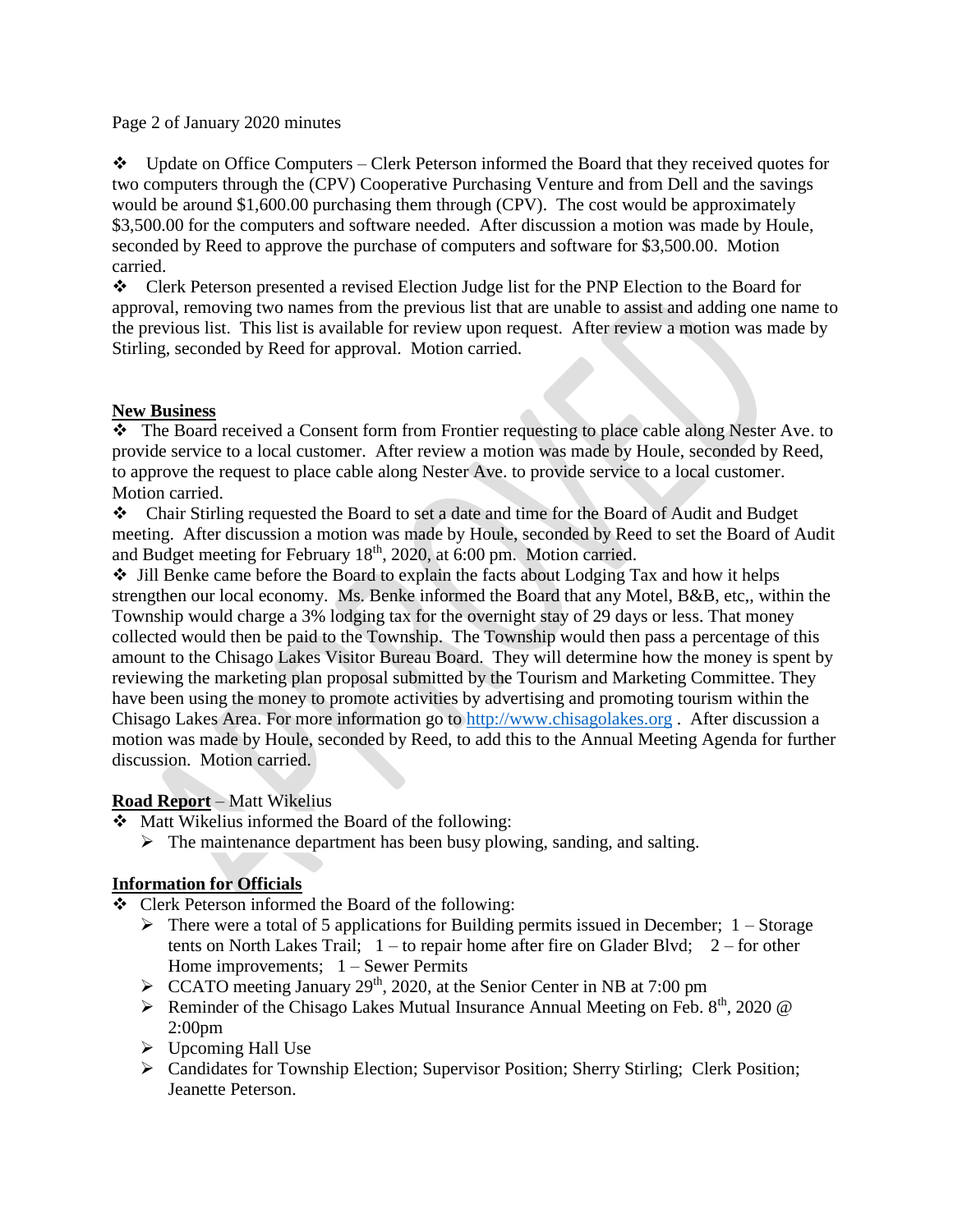Page 2 of January 2020 minutes

 $\bullet\bullet\quad$  Update on Office Computers – Clerk Peterson informed the Board that they received quotes for two computers through the (CPV) Cooperative Purchasing Venture and from Dell and the savings would be around \$1,600.00 purchasing them through (CPV). The cost would be approximately \$3,500.00 for the computers and software needed. After discussion a motion was made by Houle, seconded by Reed to approve the purchase of computers and software for \$3,500.00. Motion carried.

Clerk Peterson presented a revised Election Judge list for the PNP Election to the Board for approval, removing two names from the previous list that are unable to assist and adding one name to the previous list. This list is available for review upon request. After review a motion was made by Stirling, seconded by Reed for approval. Motion carried.

## **New Business**

 The Board received a Consent form from Frontier requesting to place cable along Nester Ave. to provide service to a local customer. After review a motion was made by Houle, seconded by Reed, to approve the request to place cable along Nester Ave. to provide service to a local customer. Motion carried.

Chair Stirling requested the Board to set a date and time for the Board of Audit and Budget meeting. After discussion a motion was made by Houle, seconded by Reed to set the Board of Audit and Budget meeting for February 18<sup>th</sup>, 2020, at 6:00 pm. Motion carried.

 $\cdot$  Jill Benke came before the Board to explain the facts about Lodging Tax and how it helps strengthen our local economy. Ms. Benke informed the Board that any Motel, B&B, etc,, within the Township would charge a 3% lodging tax for the overnight stay of 29 days or less. That money collected would then be paid to the Township. The Township would then pass a percentage of this amount to the Chisago Lakes Visitor Bureau Board. They will determine how the money is spent by reviewing the marketing plan proposal submitted by the Tourism and Marketing Committee. They have been using the money to promote activities by advertising and promoting tourism within the Chisago Lakes Area. For more information go to [http://www.chisagolakes.org](http://www.chisagolakes.org/) . After discussion a motion was made by Houle, seconded by Reed, to add this to the Annual Meeting Agenda for further discussion. Motion carried.

### **Road Report** – Matt Wikelius

Matt Wikelius informed the Board of the following:

 $\triangleright$  The maintenance department has been busy plowing, sanding, and salting.

# **Information for Officials**

Clerk Peterson informed the Board of the following:

- $\triangleright$  There were a total of 5 applications for Building permits issued in December; 1 Storage tents on North Lakes Trail;  $1 -$  to repair home after fire on Glader Blvd;  $2 -$  for other Home improvements; 1 – Sewer Permits
- $\triangleright$  CCATO meeting January 29<sup>th</sup>, 2020, at the Senior Center in NB at 7:00 pm
- $\triangleright$  Reminder of the Chisago Lakes Mutual Insurance Annual Meeting on Feb. 8<sup>th</sup>, 2020 @ 2:00pm
- $\triangleright$  Upcoming Hall Use
- Candidates for Township Election; Supervisor Position; Sherry Stirling; Clerk Position; Jeanette Peterson.